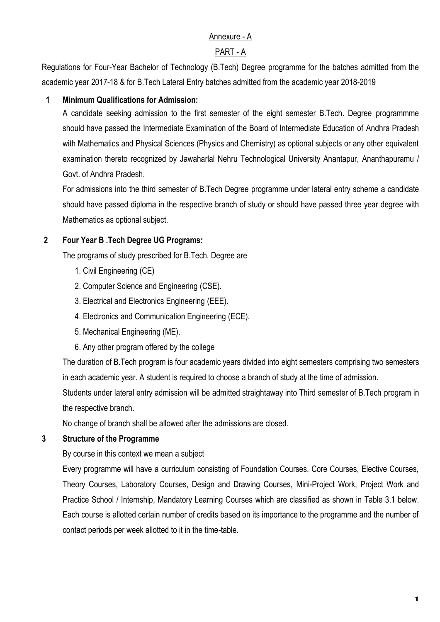# Annexure - A

## PART - A

Regulations for Four-Year Bachelor of Technology (B.Tech) Degree programme for the batches admitted from the academic year 2017-18 & for B.Tech Lateral Entry batches admitted from the academic year 2018-2019

## **1 Minimum Qualifications for Admission:**

A candidate seeking admission to the first semester of the eight semester B.Tech. Degree programmme should have passed the Intermediate Examination of the Board of Intermediate Education of Andhra Pradesh with Mathematics and Physical Sciences (Physics and Chemistry) as optional subjects or any other equivalent examination thereto recognized by Jawaharlal Nehru Technological University Anantapur, Ananthapuramu / Govt. of Andhra Pradesh.

For admissions into the third semester of B.Tech Degree programme under lateral entry scheme a candidate should have passed diploma in the respective branch of study or should have passed three year degree with Mathematics as optional subject.

# **2 Four Year B .Tech Degree UG Programs:**

The programs of study prescribed for B.Tech. Degree are

- 1. Civil Engineering (CE)
- 2. Computer Science and Engineering (CSE).
- 3. Electrical and Electronics Engineering (EEE).
- 4. Electronics and Communication Engineering (ECE).
- 5. Mechanical Engineering (ME).
- 6. Any other program offered by the college

The duration of B.Tech program is four academic years divided into eight semesters comprising two semesters in each academic year. A student is required to choose a branch of study at the time of admission.

Students under lateral entry admission will be admitted straightaway into Third semester of B.Tech program in the respective branch.

No change of branch shall be allowed after the admissions are closed.

## **3 Structure of the Programme**

By course in this context we mean a subject

Every programme will have a curriculum consisting of Foundation Courses, Core Courses, Elective Courses, Theory Courses, Laboratory Courses, Design and Drawing Courses, Mini-Project Work, Project Work and Practice School / Internship, Mandatory Learning Courses which are classified as shown in Table 3.1 below. Each course is allotted certain number of credits based on its importance to the programme and the number of contact periods per week allotted to it in the time-table.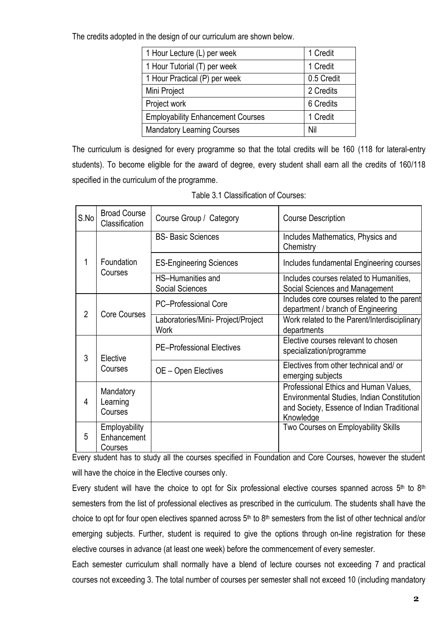The credits adopted in the design of our curriculum are shown below.

| 1 Hour Lecture (L) per week              | 1 Credit   |
|------------------------------------------|------------|
| 1 Hour Tutorial (T) per week             | 1 Credit   |
| 1 Hour Practical (P) per week            | 0.5 Credit |
| Mini Project                             | 2 Credits  |
| Project work                             | 6 Credits  |
| <b>Employability Enhancement Courses</b> | 1 Credit   |
| <b>Mandatory Learning Courses</b>        | Nil        |

The curriculum is designed for every programme so that the total credits will be 160 (118 for lateral-entry students). To become eligible for the award of degree, every student shall earn all the credits of 160/118 specified in the curriculum of the programme.

Table 3.1 Classification of Courses:

| S.No           | <b>Broad Course</b><br>Classification   | Course Group / Category                            | <b>Course Description</b>                                                                                                                      |
|----------------|-----------------------------------------|----------------------------------------------------|------------------------------------------------------------------------------------------------------------------------------------------------|
|                | Foundation<br>Courses                   | <b>BS- Basic Sciences</b>                          | Includes Mathematics, Physics and<br>Chemistry                                                                                                 |
| 1              |                                         | <b>ES-Engineering Sciences</b>                     | Includes fundamental Engineering courses                                                                                                       |
|                |                                         | <b>HS-Humanities and</b><br><b>Social Sciences</b> | Includes courses related to Humanities,<br>Social Sciences and Management                                                                      |
| $\overline{2}$ | <b>Core Courses</b>                     | <b>PC-Professional Core</b>                        | Includes core courses related to the parent<br>department / branch of Engineering                                                              |
|                |                                         | Laboratories/Mini- Project/Project<br><b>Work</b>  | Work related to the Parent/Interdisciplinary<br>departments                                                                                    |
| 3              | Elective<br>Courses                     | <b>PE-Professional Electives</b>                   | Elective courses relevant to chosen<br>specialization/programme                                                                                |
|                |                                         | OE - Open Electives                                | Electives from other technical and/or<br>emerging subjects                                                                                     |
| 4              | Mandatory<br>Learning<br>Courses        |                                                    | Professional Ethics and Human Values,<br>Environmental Studies, Indian Constitution<br>and Society, Essence of Indian Traditional<br>Knowledge |
| 5              | Employability<br>Enhancement<br>Courses |                                                    | Two Courses on Employability Skills                                                                                                            |

Every student has to study all the courses specified in Foundation and Core Courses, however the student will have the choice in the Elective courses only.

Every student will have the choice to opt for Six professional elective courses spanned across  $5<sup>th</sup>$  to  $8<sup>th</sup>$ semesters from the list of professional electives as prescribed in the curriculum. The students shall have the choice to opt for four open electives spanned across  $5<sup>th</sup>$  to  $8<sup>th</sup>$  semesters from the list of other technical and/or emerging subjects. Further, student is required to give the options through on-line registration for these elective courses in advance (at least one week) before the commencement of every semester.

Each semester curriculum shall normally have a blend of lecture courses not exceeding 7 and practical courses not exceeding 3. The total number of courses per semester shall not exceed 10 (including mandatory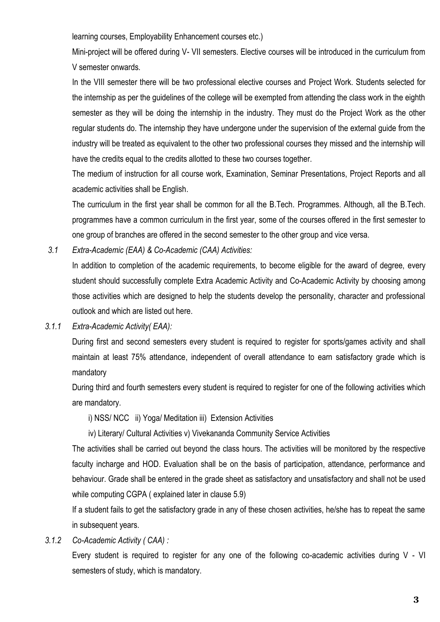learning courses, Employability Enhancement courses etc.)

Mini-project will be offered during V- VII semesters. Elective courses will be introduced in the curriculum from V semester onwards.

In the VIII semester there will be two professional elective courses and Project Work. Students selected for the internship as per the guidelines of the college will be exempted from attending the class work in the eighth semester as they will be doing the internship in the industry. They must do the Project Work as the other regular students do. The internship they have undergone under the supervision of the external guide from the industry will be treated as equivalent to the other two professional courses they missed and the internship will have the credits equal to the credits allotted to these two courses together.

The medium of instruction for all course work, Examination, Seminar Presentations, Project Reports and all academic activities shall be English.

The curriculum in the first year shall be common for all the B.Tech. Programmes. Although, all the B.Tech. programmes have a common curriculum in the first year, some of the courses offered in the first semester to one group of branches are offered in the second semester to the other group and vice versa.

*3.1 Extra-Academic (EAA) & Co-Academic (CAA) Activities:*

In addition to completion of the academic requirements, to become eligible for the award of degree, every student should successfully complete Extra Academic Activity and Co-Academic Activity by choosing among those activities which are designed to help the students develop the personality, character and professional outlook and which are listed out here.

*3.1.1 Extra-Academic Activity( EAA):*

During first and second semesters every student is required to register for sports/games activity and shall maintain at least 75% attendance, independent of overall attendance to earn satisfactory grade which is mandatory

During third and fourth semesters every student is required to register for one of the following activities which are mandatory.

i) NSS/ NCC ii) Yoga/ Meditation iii) Extension Activities

iv) Literary/ Cultural Activities v) Vivekananda Community Service Activities

The activities shall be carried out beyond the class hours. The activities will be monitored by the respective faculty incharge and HOD. Evaluation shall be on the basis of participation, attendance, performance and behaviour. Grade shall be entered in the grade sheet as satisfactory and unsatisfactory and shall not be used while computing CGPA ( explained later in clause 5.9)

If a student fails to get the satisfactory grade in any of these chosen activities, he/she has to repeat the same in subsequent years.

*3.1.2 Co-Academic Activity ( CAA) :*

Every student is required to register for any one of the following co-academic activities during V - VI semesters of study, which is mandatory.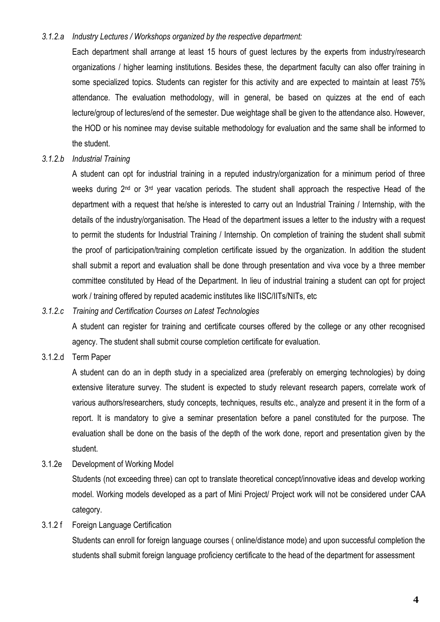#### *3.1.2.a Industry Lectures / Workshops organized by the respective department:*

Each department shall arrange at least 15 hours of guest lectures by the experts from industry/research organizations / higher learning institutions. Besides these, the department faculty can also offer training in some specialized topics. Students can register for this activity and are expected to maintain at least 75% attendance. The evaluation methodology, will in general, be based on quizzes at the end of each lecture/group of lectures/end of the semester. Due weightage shall be given to the attendance also. However, the HOD or his nominee may devise suitable methodology for evaluation and the same shall be informed to the student.

#### *3.1.2.b Industrial Training*

A student can opt for industrial training in a reputed industry/organization for a minimum period of three weeks during 2<sup>nd</sup> or 3<sup>rd</sup> year vacation periods. The student shall approach the respective Head of the department with a request that he/she is interested to carry out an Industrial Training / Internship, with the details of the industry/organisation. The Head of the department issues a letter to the industry with a request to permit the students for Industrial Training / Internship. On completion of training the student shall submit the proof of participation/training completion certificate issued by the organization. In addition the student shall submit a report and evaluation shall be done through presentation and viva voce by a three member committee constituted by Head of the Department. In lieu of industrial training a student can opt for project work / training offered by reputed academic institutes like IISC/IITs/NITs, etc

#### *3.1.2.c Training and Certification Courses on Latest Technologies*

A student can register for training and certificate courses offered by the college or any other recognised agency. The student shall submit course completion certificate for evaluation.

### 3.1.2.d Term Paper

A student can do an in depth study in a specialized area (preferably on emerging technologies) by doing extensive literature survey. The student is expected to study relevant research papers, correlate work of various authors/researchers, study concepts, techniques, results etc., analyze and present it in the form of a report. It is mandatory to give a seminar presentation before a panel constituted for the purpose. The evaluation shall be done on the basis of the depth of the work done, report and presentation given by the student.

3.1.2e Development of Working Model

Students (not exceeding three) can opt to translate theoretical concept/innovative ideas and develop working model. Working models developed as a part of Mini Project/ Project work will not be considered under CAA category.

### 3.1.2 f Foreign Language Certification

Students can enroll for foreign language courses ( online/distance mode) and upon successful completion the students shall submit foreign language proficiency certificate to the head of the department for assessment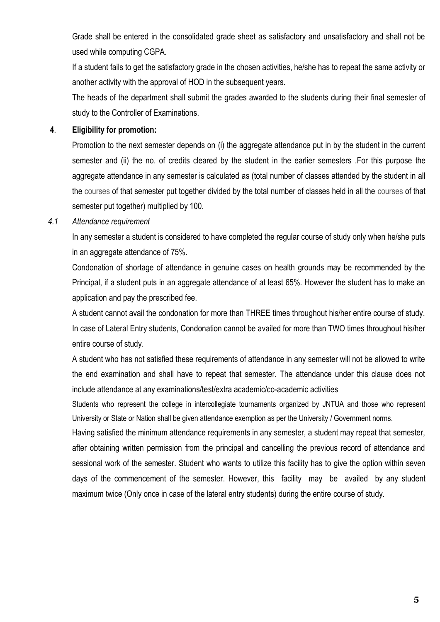Grade shall be entered in the consolidated grade sheet as satisfactory and unsatisfactory and shall not be used while computing CGPA.

If a student fails to get the satisfactory grade in the chosen activities, he/she has to repeat the same activity or another activity with the approval of HOD in the subsequent years.

The heads of the department shall submit the grades awarded to the students during their final semester of study to the Controller of Examinations.

### **4**. **Eligibility for promotion:**

Promotion to the next semester depends on (i) the aggregate attendance put in by the student in the current semester and (ii) the no. of credits cleared by the student in the earlier semesters .For this purpose the aggregate attendance in any semester is calculated as (total number of classes attended by the student in all the courses of that semester put together divided by the total number of classes held in all the courses of that semester put together) multiplied by 100.

### *4.1 Attendance requirement*

In any semester a student is considered to have completed the regular course of study only when he/she puts in an aggregate attendance of 75%.

Condonation of shortage of attendance in genuine cases on health grounds may be recommended by the Principal, if a student puts in an aggregate attendance of at least 65%. However the student has to make an application and pay the prescribed fee.

A student cannot avail the condonation for more than THREE times throughout his/her entire course of study. In case of Lateral Entry students, Condonation cannot be availed for more than TWO times throughout his/her entire course of study.

A student who has not satisfied these requirements of attendance in any semester will not be allowed to write the end examination and shall have to repeat that semester. The attendance under this clause does not include attendance at any examinations/test/extra academic/co-academic activities

Students who represent the college in intercollegiate tournaments organized by JNTUA and those who represent University or State or Nation shall be given attendance exemption as per the University / Government norms.

Having satisfied the minimum attendance requirements in any semester, a student may repeat that semester, after obtaining written permission from the principal and cancelling the previous record of attendance and sessional work of the semester. Student who wants to utilize this facility has to give the option within seven days of the commencement of the semester. However, this facility may be availed by any student maximum twice (Only once in case of the lateral entry students) during the entire course of study.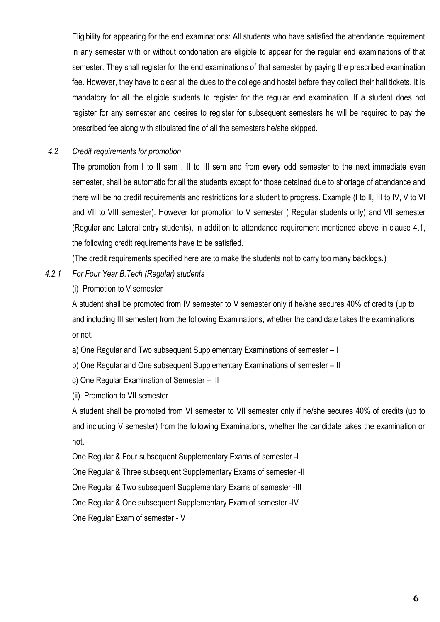Eligibility for appearing for the end examinations: All students who have satisfied the attendance requirement in any semester with or without condonation are eligible to appear for the regular end examinations of that semester. They shall register for the end examinations of that semester by paying the prescribed examination fee. However, they have to clear all the dues to the college and hostel before they collect their hall tickets. It is mandatory for all the eligible students to register for the regular end examination. If a student does not register for any semester and desires to register for subsequent semesters he will be required to pay the prescribed fee along with stipulated fine of all the semesters he/she skipped.

### *4.2 Credit requirements for promotion*

The promotion from I to II sem , II to III sem and from every odd semester to the next immediate even semester, shall be automatic for all the students except for those detained due to shortage of attendance and there will be no credit requirements and restrictions for a student to progress. Example (I to II, III to IV, V to VI and VII to VIII semester). However for promotion to V semester ( Regular students only) and VII semester (Regular and Lateral entry students), in addition to attendance requirement mentioned above in clause 4.1, the following credit requirements have to be satisfied.

(The credit requirements specified here are to make the students not to carry too many backlogs.)

### *4.2.1 For Four Year B.Tech (Regular) students*

(i) Promotion to V semester

A student shall be promoted from IV semester to V semester only if he/she secures 40% of credits (up to and including III semester) from the following Examinations, whether the candidate takes the examinations or not.

a) One Regular and Two subsequent Supplementary Examinations of semester – I

b) One Regular and One subsequent Supplementary Examinations of semester – II

- c) One Regular Examination of Semester III
- (ii) Promotion to VII semester

A student shall be promoted from VI semester to VII semester only if he/she secures 40% of credits (up to and including V semester) from the following Examinations, whether the candidate takes the examination or not.

One Regular & Four subsequent Supplementary Exams of semester -I

One Regular & Three subsequent Supplementary Exams of semester -II

One Regular & Two subsequent Supplementary Exams of semester -III

One Regular & One subsequent Supplementary Exam of semester -IV

One Regular Exam of semester - V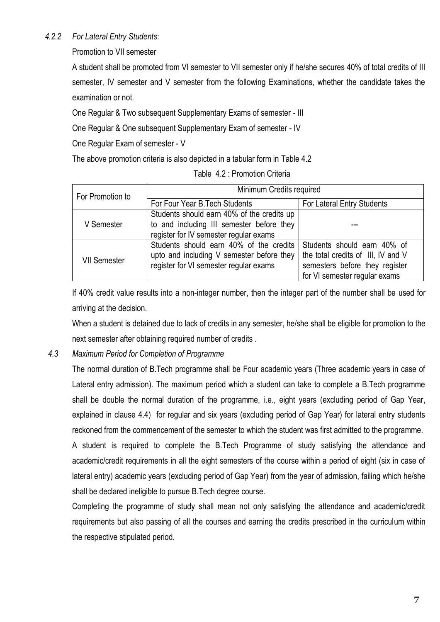## *4.2.2 For Lateral Entry Students*:

Promotion to VII semester

A student shall be promoted from VI semester to VII semester only if he/she secures 40% of total credits of III semester, IV semester and V semester from the following Examinations, whether the candidate takes the examination or not.

One Regular & Two subsequent Supplementary Exams of semester - III

One Regular & One subsequent Supplementary Exam of semester - IV

One Regular Exam of semester - V

The above promotion criteria is also depicted in a tabular form in Table 4.2

| For Promotion to    | Minimum Credits required                                                                                                          |                                                                                                                                      |  |  |
|---------------------|-----------------------------------------------------------------------------------------------------------------------------------|--------------------------------------------------------------------------------------------------------------------------------------|--|--|
|                     | For Four Year B. Tech Students                                                                                                    | For Lateral Entry Students                                                                                                           |  |  |
| V Semester          | Students should earn 40% of the credits up<br>to and including III semester before they<br>register for IV semester regular exams |                                                                                                                                      |  |  |
| <b>VII Semester</b> | Students should earn 40% of the credits<br>upto and including V semester before they<br>register for VI semester regular exams    | Students should earn 40% of<br>the total credits of III, IV and V<br>semesters before they register<br>for VI semester regular exams |  |  |

If 40% credit value results into a non-integer number, then the integer part of the number shall be used for arriving at the decision.

When a student is detained due to lack of credits in any semester, he/she shall be eligible for promotion to the next semester after obtaining required number of credits .

## *4.3 Maximum Period for Completion of Programme*

The normal duration of B.Tech programme shall be Four academic years (Three academic years in case of Lateral entry admission). The maximum period which a student can take to complete a B.Tech programme shall be double the normal duration of the programme, i.e., eight years (excluding period of Gap Year, explained in clause 4.4) for regular and six years (excluding period of Gap Year) for lateral entry students reckoned from the commencement of the semester to which the student was first admitted to the programme. A student is required to complete the B.Tech Programme of study satisfying the attendance and

academic/credit requirements in all the eight semesters of the course within a period of eight (six in case of lateral entry) academic years (excluding period of Gap Year) from the year of admission, failing which he/she shall be declared ineligible to pursue B.Tech degree course.

Completing the programme of study shall mean not only satisfying the attendance and academic/credit requirements but also passing of all the courses and earning the credits prescribed in the curriculum within the respective stipulated period.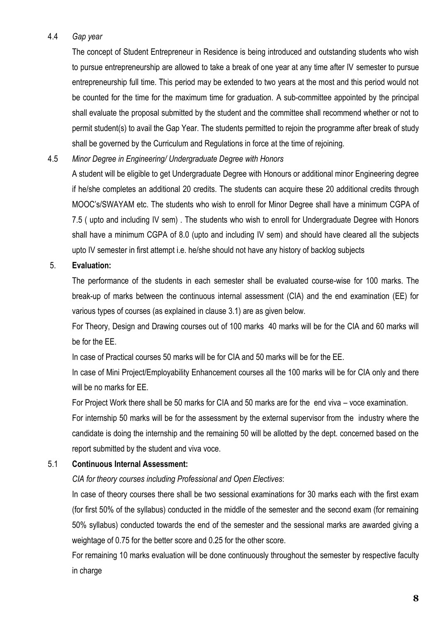### 4.4 *Gap year*

The concept of Student Entrepreneur in Residence is being introduced and outstanding students who wish to pursue entrepreneurship are allowed to take a break of one year at any time after IV semester to pursue entrepreneurship full time. This period may be extended to two years at the most and this period would not be counted for the time for the maximum time for graduation. A sub-committee appointed by the principal shall evaluate the proposal submitted by the student and the committee shall recommend whether or not to permit student(s) to avail the Gap Year. The students permitted to rejoin the programme after break of study shall be governed by the Curriculum and Regulations in force at the time of rejoining.

### 4.5 *Minor Degree in Engineering/ Undergraduate Degree with Honors*

A student will be eligible to get Undergraduate Degree with Honours or additional minor Engineering degree if he/she completes an additional 20 credits. The students can acquire these 20 additional credits through MOOC's/SWAYAM etc. The students who wish to enroll for Minor Degree shall have a minimum CGPA of 7.5 ( upto and including IV sem) . The students who wish to enroll for Undergraduate Degree with Honors shall have a minimum CGPA of 8.0 (upto and including IV sem) and should have cleared all the subjects upto IV semester in first attempt i.e. he/she should not have any history of backlog subjects

### 5. **Evaluation:**

The performance of the students in each semester shall be evaluated course-wise for 100 marks. The break-up of marks between the continuous internal assessment (CIA) and the end examination (EE) for various types of courses (as explained in clause 3.1) are as given below.

For Theory, Design and Drawing courses out of 100 marks 40 marks will be for the CIA and 60 marks will be for the EE.

In case of Practical courses 50 marks will be for CIA and 50 marks will be for the EE.

In case of Mini Project/Employability Enhancement courses all the 100 marks will be for CIA only and there will be no marks for EE.

For Project Work there shall be 50 marks for CIA and 50 marks are for the end viva – voce examination.

For internship 50 marks will be for the assessment by the external supervisor from the industry where the candidate is doing the internship and the remaining 50 will be allotted by the dept. concerned based on the report submitted by the student and viva voce.

## 5.1 **Continuous Internal Assessment:**

## *CIA for theory courses including Professional and Open Electives*:

In case of theory courses there shall be two sessional examinations for 30 marks each with the first exam (for first 50% of the syllabus) conducted in the middle of the semester and the second exam (for remaining 50% syllabus) conducted towards the end of the semester and the sessional marks are awarded giving a weightage of 0.75 for the better score and 0.25 for the other score.

For remaining 10 marks evaluation will be done continuously throughout the semester by respective faculty in charge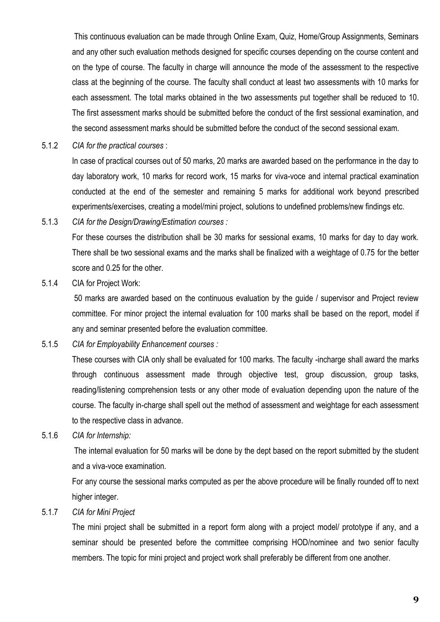This continuous evaluation can be made through Online Exam, Quiz, Home/Group Assignments, Seminars and any other such evaluation methods designed for specific courses depending on the course content and on the type of course. The faculty in charge will announce the mode of the assessment to the respective class at the beginning of the course. The faculty shall conduct at least two assessments with 10 marks for each assessment. The total marks obtained in the two assessments put together shall be reduced to 10. The first assessment marks should be submitted before the conduct of the first sessional examination, and the second assessment marks should be submitted before the conduct of the second sessional exam.

5.1.2 *CIA for the practical courses* :

In case of practical courses out of 50 marks, 20 marks are awarded based on the performance in the day to day laboratory work, 10 marks for record work, 15 marks for viva-voce and internal practical examination conducted at the end of the semester and remaining 5 marks for additional work beyond prescribed experiments/exercises, creating a model/mini project, solutions to undefined problems/new findings etc.

5.1.3 *CIA for the Design/Drawing/Estimation courses :*

For these courses the distribution shall be 30 marks for sessional exams, 10 marks for day to day work. There shall be two sessional exams and the marks shall be finalized with a weightage of 0.75 for the better score and 0.25 for the other.

5.1.4 CIA for Project Work:

50 marks are awarded based on the continuous evaluation by the guide / supervisor and Project review committee. For minor project the internal evaluation for 100 marks shall be based on the report, model if any and seminar presented before the evaluation committee.

5.1.5 *CIA for Employability Enhancement courses :*

These courses with CIA only shall be evaluated for 100 marks. The faculty -incharge shall award the marks through continuous assessment made through objective test, group discussion, group tasks, reading/listening comprehension tests or any other mode of evaluation depending upon the nature of the course. The faculty in-charge shall spell out the method of assessment and weightage for each assessment to the respective class in advance.

5.1.6 *CIA for Internship:*

The internal evaluation for 50 marks will be done by the dept based on the report submitted by the student and a viva-voce examination.

For any course the sessional marks computed as per the above procedure will be finally rounded off to next higher integer.

5.1.7 *CIA for Mini Project*

The mini project shall be submitted in a report form along with a project model/ prototype if any, and a seminar should be presented before the committee comprising HOD/nominee and two senior faculty members. The topic for mini project and project work shall preferably be different from one another.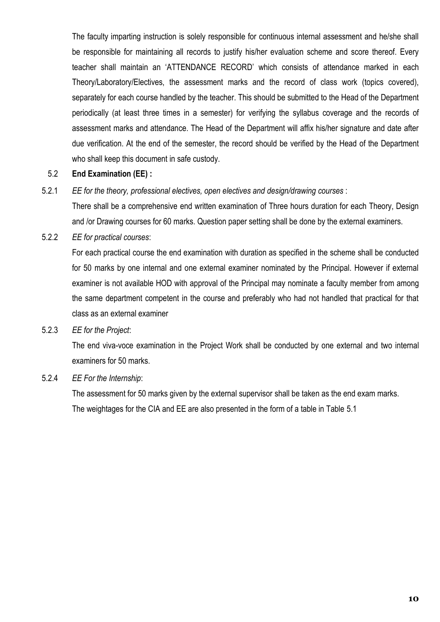The faculty imparting instruction is solely responsible for continuous internal assessment and he/she shall be responsible for maintaining all records to justify his/her evaluation scheme and score thereof. Every teacher shall maintain an 'ATTENDANCE RECORD' which consists of attendance marked in each Theory/Laboratory/Electives, the assessment marks and the record of class work (topics covered), separately for each course handled by the teacher. This should be submitted to the Head of the Department periodically (at least three times in a semester) for verifying the syllabus coverage and the records of assessment marks and attendance. The Head of the Department will affix his/her signature and date after due verification. At the end of the semester, the record should be verified by the Head of the Department who shall keep this document in safe custody.

#### 5.2 **End Examination (EE) :**

5.2.1 *EE for the theory, professional electives, open electives and design/drawing courses* :

There shall be a comprehensive end written examination of Three hours duration for each Theory, Design and /or Drawing courses for 60 marks. Question paper setting shall be done by the external examiners.

5.2.2 *EE for practical courses*:

For each practical course the end examination with duration as specified in the scheme shall be conducted for 50 marks by one internal and one external examiner nominated by the Principal. However if external examiner is not available HOD with approval of the Principal may nominate a faculty member from among the same department competent in the course and preferably who had not handled that practical for that class as an external examiner

#### 5.2.3 *EE for the Project*:

The end viva-voce examination in the Project Work shall be conducted by one external and two internal examiners for 50 marks.

### 5.2.4 *EE For the Internship*:

The assessment for 50 marks given by the external supervisor shall be taken as the end exam marks.

The weightages for the CIA and EE are also presented in the form of a table in Table 5.1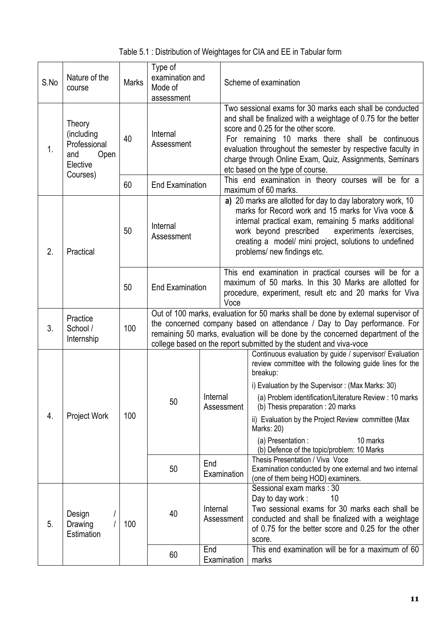| Table 5.1 : Distribution of Weightages for CIA and EE in Tabular form |  |  |
|-----------------------------------------------------------------------|--|--|
|                                                                       |  |  |

| S.No | Nature of the<br>course                                                     | <b>Marks</b> | Type of<br>examination and<br>Mode of<br>assessment                                                                                                                                                                                                                                                                  |          | Scheme of examination |                                                                                                                                                                                                                                                                                                                                                                                     |
|------|-----------------------------------------------------------------------------|--------------|----------------------------------------------------------------------------------------------------------------------------------------------------------------------------------------------------------------------------------------------------------------------------------------------------------------------|----------|-----------------------|-------------------------------------------------------------------------------------------------------------------------------------------------------------------------------------------------------------------------------------------------------------------------------------------------------------------------------------------------------------------------------------|
| 1.   | Theory<br>(including<br>Professional<br>and<br>Open<br>Elective<br>Courses) | 40           | Internal<br>Assessment                                                                                                                                                                                                                                                                                               |          |                       | Two sessional exams for 30 marks each shall be conducted<br>and shall be finalized with a weightage of 0.75 for the better<br>score and 0.25 for the other score.<br>For remaining 10 marks there shall be continuous<br>evaluation throughout the semester by respective faculty in<br>charge through Online Exam, Quiz, Assignments, Seminars<br>etc based on the type of course. |
|      |                                                                             | 60           | <b>End Examination</b>                                                                                                                                                                                                                                                                                               |          |                       | This end examination in theory courses will be for a<br>maximum of 60 marks.                                                                                                                                                                                                                                                                                                        |
| 2.   | Practical                                                                   | 50           | Internal<br>Assessment                                                                                                                                                                                                                                                                                               |          |                       | a) 20 marks are allotted for day to day laboratory work, 10<br>marks for Record work and 15 marks for Viva voce &<br>internal practical exam, remaining 5 marks additional<br>work beyond prescribed<br>experiments /exercises,<br>creating a model/ mini project, solutions to undefined<br>problems/ new findings etc.                                                            |
|      |                                                                             | 50           | <b>End Examination</b>                                                                                                                                                                                                                                                                                               |          | Voce                  | This end examination in practical courses will be for a<br>maximum of 50 marks. In this 30 Marks are allotted for<br>procedure, experiment, result etc and 20 marks for Viva                                                                                                                                                                                                        |
| 3.   | Practice<br>School /<br>Internship                                          | 100          | Out of 100 marks, evaluation for 50 marks shall be done by external supervisor of<br>the concerned company based on attendance / Day to Day performance. For<br>remaining 50 marks, evaluation will be done by the concerned department of the<br>college based on the report submitted by the student and viva-voce |          |                       |                                                                                                                                                                                                                                                                                                                                                                                     |
|      | Project Work                                                                | 100          |                                                                                                                                                                                                                                                                                                                      |          |                       | Continuous evaluation by guide / supervisor/ Evaluation<br>review committee with the following guide lines for the<br>breakup:                                                                                                                                                                                                                                                      |
|      |                                                                             |              | 50                                                                                                                                                                                                                                                                                                                   | Internal | Assessment            | i) Evaluation by the Supervisor: (Max Marks: 30)<br>(a) Problem identification/Literature Review: 10 marks<br>(b) Thesis preparation : 20 marks                                                                                                                                                                                                                                     |
| 4.   |                                                                             |              |                                                                                                                                                                                                                                                                                                                      |          |                       | ii) Evaluation by the Project Review committee (Max<br>Marks: 20)                                                                                                                                                                                                                                                                                                                   |
|      |                                                                             |              |                                                                                                                                                                                                                                                                                                                      |          |                       | (a) Presentation :<br>10 marks<br>(b) Defence of the topic/problem: 10 Marks                                                                                                                                                                                                                                                                                                        |
|      |                                                                             |              | End<br>50<br>Examination                                                                                                                                                                                                                                                                                             |          |                       | Thesis Presentation / Viva Voce<br>Examination conducted by one external and two internal<br>(one of them being HOD) examiners.                                                                                                                                                                                                                                                     |
| 5.   | Design<br>Drawing<br>Estimation                                             | 100          | 40                                                                                                                                                                                                                                                                                                                   | Internal | Assessment            | Sessional exam marks: 30<br>10<br>Day to day work:<br>Two sessional exams for 30 marks each shall be<br>conducted and shall be finalized with a weightage<br>of 0.75 for the better score and 0.25 for the other<br>score.                                                                                                                                                          |
|      |                                                                             |              | 60                                                                                                                                                                                                                                                                                                                   | End      | Examination           | This end examination will be for a maximum of 60<br>marks                                                                                                                                                                                                                                                                                                                           |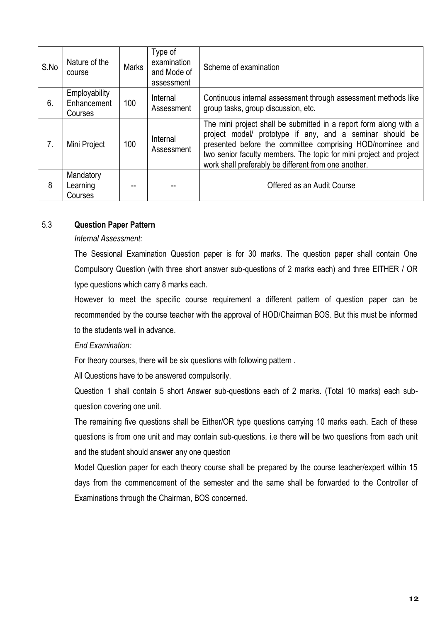| S.No | Nature of the<br>course                        | <b>Marks</b> | Type of<br>examination<br>and Mode of<br>assessment | Scheme of examination                                                                                                                                                                                                                                                                                                    |
|------|------------------------------------------------|--------------|-----------------------------------------------------|--------------------------------------------------------------------------------------------------------------------------------------------------------------------------------------------------------------------------------------------------------------------------------------------------------------------------|
| 6.   | <b>Employability</b><br>Enhancement<br>Courses | 100          | Internal<br>Assessment                              | Continuous internal assessment through assessment methods like<br>group tasks, group discussion, etc.                                                                                                                                                                                                                    |
| 7.   | Mini Project                                   | 100          | Internal<br>Assessment                              | The mini project shall be submitted in a report form along with a<br>project model/ prototype if any, and a seminar should be<br>presented before the committee comprising HOD/nominee and<br>two senior faculty members. The topic for mini project and project<br>work shall preferably be different from one another. |
| 8    | Mandatory<br>Learning<br>Courses               |              |                                                     | Offered as an Audit Course                                                                                                                                                                                                                                                                                               |

### 5.3 **Question Paper Pattern**

#### *Internal Assessment:*

The Sessional Examination Question paper is for 30 marks. The question paper shall contain One Compulsory Question (with three short answer sub-questions of 2 marks each) and three EITHER / OR type questions which carry 8 marks each.

However to meet the specific course requirement a different pattern of question paper can be recommended by the course teacher with the approval of HOD/Chairman BOS. But this must be informed to the students well in advance.

#### *End Examination:*

For theory courses, there will be six questions with following pattern .

All Questions have to be answered compulsorily.

Question 1 shall contain 5 short Answer sub-questions each of 2 marks. (Total 10 marks) each subquestion covering one unit.

The remaining five questions shall be Either/OR type questions carrying 10 marks each. Each of these questions is from one unit and may contain sub-questions. i.e there will be two questions from each unit and the student should answer any one question

Model Question paper for each theory course shall be prepared by the course teacher/expert within 15 days from the commencement of the semester and the same shall be forwarded to the Controller of Examinations through the Chairman, BOS concerned.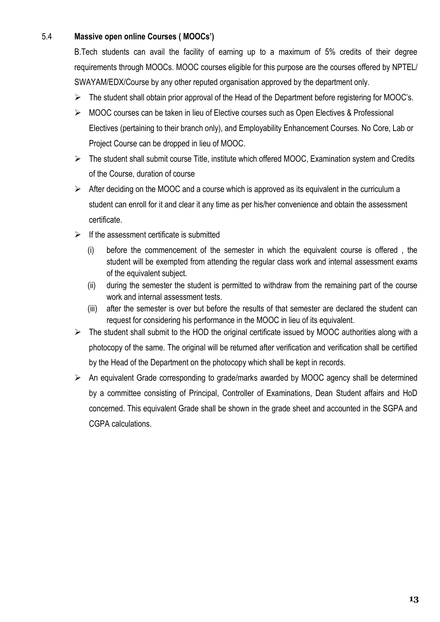# 5.4 **Massive open online Courses ( MOOCs')**

B.Tech students can avail the facility of earning up to a maximum of 5% credits of their degree requirements through MOOCs. MOOC courses eligible for this purpose are the courses offered by NPTEL/ SWAYAM/EDX/Course by any other reputed organisation approved by the department only.

- $\triangleright$  The student shall obtain prior approval of the Head of the Department before registering for MOOC's.
- MOOC courses can be taken in lieu of Elective courses such as Open Electives & Professional Electives (pertaining to their branch only), and Employability Enhancement Courses. No Core, Lab or Project Course can be dropped in lieu of MOOC.
- $\triangleright$  The student shall submit course Title, institute which offered MOOC, Examination system and Credits of the Course, duration of course
- $\triangleright$  After deciding on the MOOC and a course which is approved as its equivalent in the curriculum a student can enroll for it and clear it any time as per his/her convenience and obtain the assessment certificate.
- $\triangleright$  If the assessment certificate is submitted
	- (i) before the commencement of the semester in which the equivalent course is offered , the student will be exempted from attending the regular class work and internal assessment exams of the equivalent subject.
	- (ii) during the semester the student is permitted to withdraw from the remaining part of the course work and internal assessment tests.
	- (iii) after the semester is over but before the results of that semester are declared the student can request for considering his performance in the MOOC in lieu of its equivalent.
- $\triangleright$  The student shall submit to the HOD the original certificate issued by MOOC authorities along with a photocopy of the same. The original will be returned after verification and verification shall be certified by the Head of the Department on the photocopy which shall be kept in records.
- An equivalent Grade corresponding to grade/marks awarded by MOOC agency shall be determined by a committee consisting of Principal, Controller of Examinations, Dean Student affairs and HoD concerned. This equivalent Grade shall be shown in the grade sheet and accounted in the SGPA and CGPA calculations.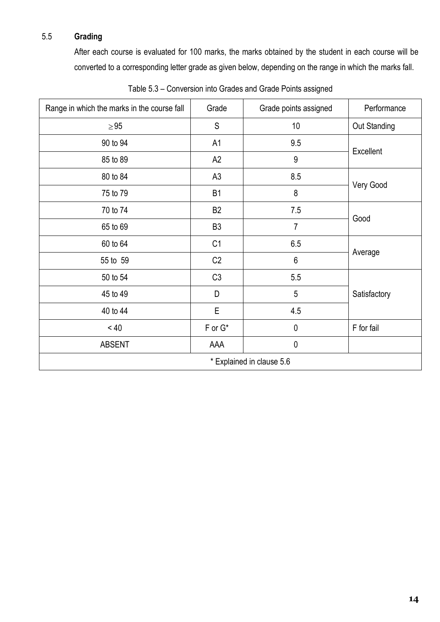# 5.5 **Grading**

After each course is evaluated for 100 marks, the marks obtained by the student in each course will be converted to a corresponding letter grade as given below, depending on the range in which the marks fall.

| Range in which the marks in the course fall | Grade          | Grade points assigned | Performance  |  |
|---------------------------------------------|----------------|-----------------------|--------------|--|
| $\geq 95$                                   | S              | 10                    | Out Standing |  |
| 90 to 94                                    | A1             | 9.5                   |              |  |
| 85 to 89                                    | A2             | 9                     | Excellent    |  |
| 80 to 84                                    | A <sub>3</sub> | 8.5                   |              |  |
| 75 to 79                                    | B1             | 8                     | Very Good    |  |
| 70 to 74                                    | B <sub>2</sub> | 7.5                   |              |  |
| 65 to 69                                    | B <sub>3</sub> | $\overline{7}$        | Good         |  |
| 60 to 64                                    | C <sub>1</sub> | 6.5                   |              |  |
| 55 to 59                                    | C2             | 6                     | Average      |  |
| 50 to 54                                    | C3             | 5.5                   |              |  |
| 45 to 49                                    | D              | 5                     | Satisfactory |  |
| 40 to 44                                    | E              | 4.5                   |              |  |
| < 40                                        | $F$ or $G^*$   | $\pmb{0}$             | F for fail   |  |
| <b>ABSENT</b>                               | AAA            | $\pmb{0}$             |              |  |
| * Explained in clause 5.6                   |                |                       |              |  |

Table 5.3 – Conversion into Grades and Grade Points assigned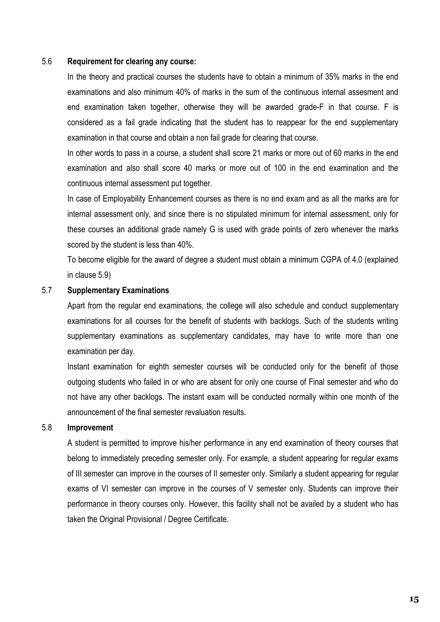#### 5.6 **Requirement for clearing any course:**

In the theory and practical courses the students have to obtain a minimum of 35% marks in the end examinations and also minimum 40% of marks in the sum of the continuous internal assesment and end examination taken together, otherwise they will be awarded grade-F in that course. F is considered as a fail grade indicating that the student has to reappear for the end supplementary examination in that course and obtain a non fail grade for clearing that course.

In other words to pass in a course, a student shall score 21 marks or more out of 60 marks in the end examination and also shall score 40 marks or more out of 100 in the end examination and the continuous internal assessment put together.

In case of Employability Enhancement courses as there is no end exam and as all the marks are for internal assessment only, and since there is no stipulated minimum for internal assessment, only for these courses an additional grade namely G is used with grade points of zero whenever the marks scored by the student is less than 40%.

To become eligible for the award of degree a student must obtain a minimum CGPA of 4.0 (explained in clause 5.9)

#### 5.7 **Supplementary Examinations**

Apart from the regular end examinations, the college will also schedule and conduct supplementary examinations for all courses for the benefit of students with backlogs. Such of the students writing supplementary examinations as supplementary candidates, may have to write more than one examination per day.

Instant examination for eighth semester courses will be conducted only for the benefit of those outgoing students who failed in or who are absent for only one course of Final semester and who do not have any other backlogs. The instant exam will be conducted normally within one month of the announcement of the final semester revaluation results.

#### 5.8 **Improvement**

A student is permitted to improve his/her performance in any end examination of theory courses that belong to immediately preceding semester only. For example, a student appearing for regular exams of III semester can improve in the courses of II semester only. Similarly a student appearing for regular exams of VI semester can improve in the courses of V semester only. Students can improve their performance in theory courses only. However, this facility shall not be availed by a student who has taken the Original Provisional / Degree Certificate.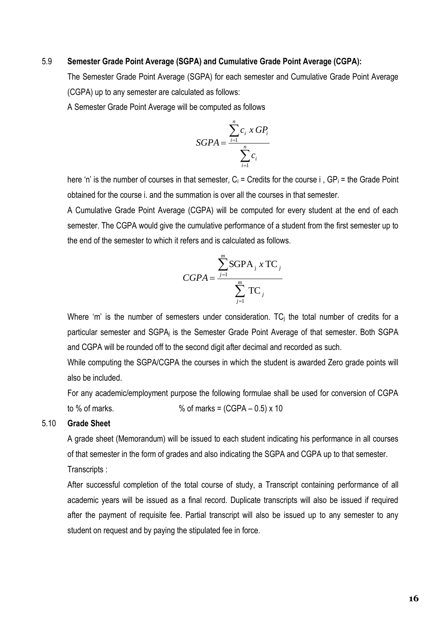#### 5.9 **Semester Grade Point Average (SGPA) and Cumulative Grade Point Average (CGPA):**

The Semester Grade Point Average (SGPA) for each semester and Cumulative Grade Point Average (CGPA) up to any semester are calculated as follows:

A Semester Grade Point Average will be computed as follows

$$
SGPA = \frac{\sum_{i=1}^{n} c_i \times GP_i}{\sum_{i=1}^{n} c_i}
$$

here 'n' is the number of courses in that semester,  $C_i$  = Credits for the course i,  $GP_i$  = the Grade Point obtained for the course i. and the summation is over all the courses in that semester.

A Cumulative Grade Point Average (CGPA) will be computed for every student at the end of each semester. The CGPA would give the cumulative performance of a student from the first semester up to the end of the semester to which it refers and is calculated as follows.

$$
CGPA = \frac{\sum_{j=1}^{m} \text{SGPA}_j \times \text{TC}_j}{\sum_{j=1}^{m} \text{TC}_j}
$$

Where 'm' is the number of semesters under consideration.  $TC_i$  the total number of credits for a particular semester and SGPA<sup>j</sup> is the Semester Grade Point Average of that semester. Both SGPA and CGPA will be rounded off to the second digit after decimal and recorded as such.

While computing the SGPA/CGPA the courses in which the student is awarded Zero grade points will also be included.

For any academic/employment purpose the following formulae shall be used for conversion of CGPA to % of marks.  $\%$  of marks = (CGPA – 0.5) x 10

#### 5.10 **Grade Sheet**

A grade sheet (Memorandum) will be issued to each student indicating his performance in all courses of that semester in the form of grades and also indicating the SGPA and CGPA up to that semester. Transcripts :

After successful completion of the total course of study, a Transcript containing performance of all academic years will be issued as a final record. Duplicate transcripts will also be issued if required after the payment of requisite fee. Partial transcript will also be issued up to any semester to any student on request and by paying the stipulated fee in force.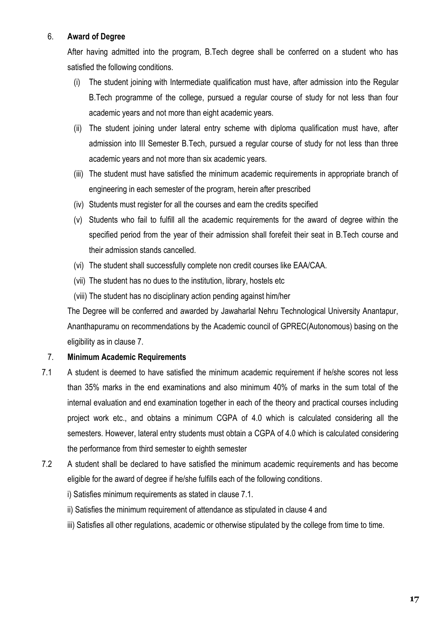### 6. **Award of Degree**

After having admitted into the program, B.Tech degree shall be conferred on a student who has satisfied the following conditions.

- (i) The student joining with Intermediate qualification must have, after admission into the Regular B.Tech programme of the college, pursued a regular course of study for not less than four academic years and not more than eight academic years.
- (ii) The student joining under lateral entry scheme with diploma qualification must have, after admission into III Semester B.Tech, pursued a regular course of study for not less than three academic years and not more than six academic years.
- (iii) The student must have satisfied the minimum academic requirements in appropriate branch of engineering in each semester of the program, herein after prescribed
- (iv) Students must register for all the courses and earn the credits specified
- (v) Students who fail to fulfill all the academic requirements for the award of degree within the specified period from the year of their admission shall forefeit their seat in B.Tech course and their admission stands cancelled.
- (vi) The student shall successfully complete non credit courses like EAA/CAA.
- (vii) The student has no dues to the institution, library, hostels etc
- (viii) The student has no disciplinary action pending against him/her

The Degree will be conferred and awarded by Jawaharlal Nehru Technological University Anantapur, Ananthapuramu on recommendations by the Academic council of GPREC(Autonomous) basing on the eligibility as in clause 7.

## 7. **Minimum Academic Requirements**

- 7.1 A student is deemed to have satisfied the minimum academic requirement if he/she scores not less than 35% marks in the end examinations and also minimum 40% of marks in the sum total of the internal evaluation and end examination together in each of the theory and practical courses including project work etc., and obtains a minimum CGPA of 4.0 which is calculated considering all the semesters. However, lateral entry students must obtain a CGPA of 4.0 which is calculated considering the performance from third semester to eighth semester
- 7.2 A student shall be declared to have satisfied the minimum academic requirements and has become eligible for the award of degree if he/she fulfills each of the following conditions.

i) Satisfies minimum requirements as stated in clause 7.1.

- ii) Satisfies the minimum requirement of attendance as stipulated in clause 4 and
- iii) Satisfies all other regulations, academic or otherwise stipulated by the college from time to time.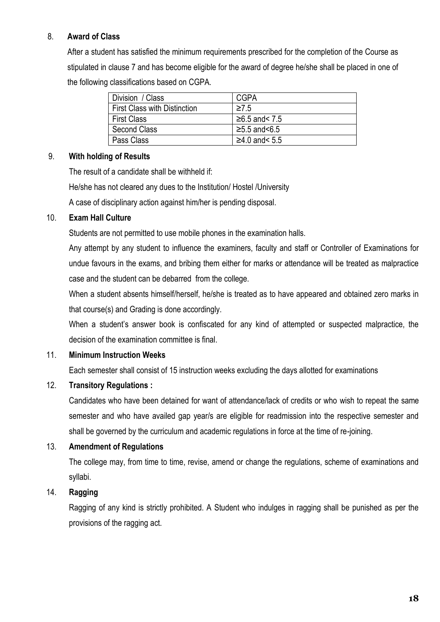# 8. **Award of Class**

After a student has satisfied the minimum requirements prescribed for the completion of the Course as stipulated in clause 7 and has become eligible for the award of degree he/she shall be placed in one of the following classifications based on CGPA.

| Division / Class                    | CGPA              |
|-------------------------------------|-------------------|
| <b>First Class with Distinction</b> | $\geq$ 75         |
| <b>First Class</b>                  | $≥6.5$ and< 7.5   |
| <b>Second Class</b>                 | $≥5.5$ and $≤6.5$ |
| Pass Class                          | $≥4.0$ and< 5.5   |

## 9. **With holding of Results**

The result of a candidate shall be withheld if: He/she has not cleared any dues to the Institution/ Hostel /University A case of disciplinary action against him/her is pending disposal.

## 10. **Exam Hall Culture**

Students are not permitted to use mobile phones in the examination halls.

Any attempt by any student to influence the examiners, faculty and staff or Controller of Examinations for undue favours in the exams, and bribing them either for marks or attendance will be treated as malpractice case and the student can be debarred from the college.

When a student absents himself/herself, he/she is treated as to have appeared and obtained zero marks in that course(s) and Grading is done accordingly.

When a student's answer book is confiscated for any kind of attempted or suspected malpractice, the decision of the examination committee is final.

## 11. **Minimum Instruction Weeks**

Each semester shall consist of 15 instruction weeks excluding the days allotted for examinations

## 12. **Transitory Regulations :**

Candidates who have been detained for want of attendance/lack of credits or who wish to repeat the same semester and who have availed gap year/s are eligible for readmission into the respective semester and shall be governed by the curriculum and academic regulations in force at the time of re-joining.

## 13. **Amendment of Regulations**

The college may, from time to time, revise, amend or change the regulations, scheme of examinations and syllabi.

### 14. **Ragging**

Ragging of any kind is strictly prohibited. A Student who indulges in ragging shall be punished as per the provisions of the ragging act.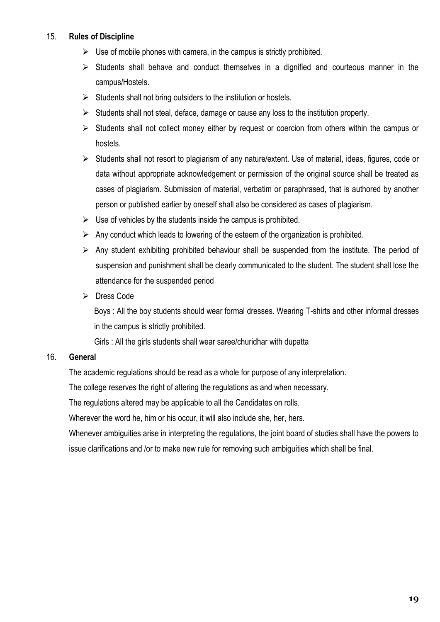### 15. **Rules of Discipline**

- $\triangleright$  Use of mobile phones with camera, in the campus is strictly prohibited.
- $\triangleright$  Students shall behave and conduct themselves in a dignified and courteous manner in the campus/Hostels.
- $\triangleright$  Students shall not bring outsiders to the institution or hostels.
- $\triangleright$  Students shall not steal, deface, damage or cause any loss to the institution property.
- $\triangleright$  Students shall not collect money either by request or coercion from others within the campus or hostels.
- $\triangleright$  Students shall not resort to plagiarism of any nature/extent. Use of material, ideas, figures, code or data without appropriate acknowledgement or permission of the original source shall be treated as cases of plagiarism. Submission of material, verbatim or paraphrased, that is authored by another person or published earlier by oneself shall also be considered as cases of plagiarism.
- $\triangleright$  Use of vehicles by the students inside the campus is prohibited.
- $\triangleright$  Any conduct which leads to lowering of the esteem of the organization is prohibited.
- $\triangleright$  Any student exhibiting prohibited behaviour shall be suspended from the institute. The period of suspension and punishment shall be clearly communicated to the student. The student shall lose the attendance for the suspended period
- $\triangleright$  Dress Code

Boys : All the boy students should wear formal dresses. Wearing T-shirts and other informal dresses in the campus is strictly prohibited.

Girls : All the girls students shall wear saree/churidhar with dupatta

## 16. **General**

The academic regulations should be read as a whole for purpose of any interpretation.

The college reserves the right of altering the regulations as and when necessary.

The regulations altered may be applicable to all the Candidates on rolls.

Wherever the word he, him or his occur, it will also include she, her, hers.

Whenever ambiguities arise in interpreting the regulations, the joint board of studies shall have the powers to issue clarifications and /or to make new rule for removing such ambiguities which shall be final.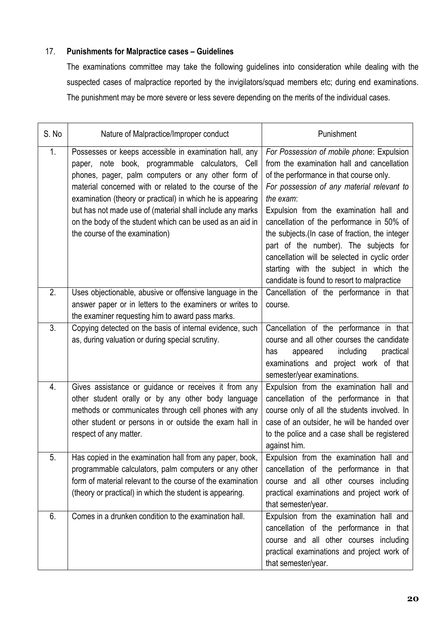# 17. **Punishments for Malpractice cases – Guidelines**

The examinations committee may take the following guidelines into consideration while dealing with the suspected cases of malpractice reported by the invigilators/squad members etc; during end examinations. The punishment may be more severe or less severe depending on the merits of the individual cases.

| S. No          | Nature of Malpractice/Improper conduct                                                                                                                                                                                                                                                                                                                                                                                                                | Punishment                                                                                                                                                                                                                                                                                                                                                                                                                                                                                                                 |
|----------------|-------------------------------------------------------------------------------------------------------------------------------------------------------------------------------------------------------------------------------------------------------------------------------------------------------------------------------------------------------------------------------------------------------------------------------------------------------|----------------------------------------------------------------------------------------------------------------------------------------------------------------------------------------------------------------------------------------------------------------------------------------------------------------------------------------------------------------------------------------------------------------------------------------------------------------------------------------------------------------------------|
| 1.             | Possesses or keeps accessible in examination hall, any<br>paper, note book, programmable calculators, Cell<br>phones, pager, palm computers or any other form of<br>material concerned with or related to the course of the<br>examination (theory or practical) in which he is appearing<br>but has not made use of (material shall include any marks<br>on the body of the student which can be used as an aid in<br>the course of the examination) | For Possession of mobile phone: Expulsion<br>from the examination hall and cancellation<br>of the performance in that course only.<br>For possession of any material relevant to<br>the exam:<br>Expulsion from the examination hall and<br>cancellation of the performance in 50% of<br>the subjects (In case of fraction, the integer<br>part of the number). The subjects for<br>cancellation will be selected in cyclic order<br>starting with the subject in which the<br>candidate is found to resort to malpractice |
| 2.             | Uses objectionable, abusive or offensive language in the<br>answer paper or in letters to the examiners or writes to<br>the examiner requesting him to award pass marks.                                                                                                                                                                                                                                                                              | Cancellation of the performance in that<br>course.                                                                                                                                                                                                                                                                                                                                                                                                                                                                         |
| 3 <sub>1</sub> | Copying detected on the basis of internal evidence, such<br>as, during valuation or during special scrutiny.                                                                                                                                                                                                                                                                                                                                          | Cancellation of the performance in that<br>course and all other courses the candidate<br>including<br>practical<br>has<br>appeared<br>examinations and project work of that<br>semester/year examinations.                                                                                                                                                                                                                                                                                                                 |
| 4.             | Gives assistance or guidance or receives it from any<br>other student orally or by any other body language<br>methods or communicates through cell phones with any<br>other student or persons in or outside the exam hall in<br>respect of any matter.                                                                                                                                                                                               | Expulsion from the examination hall and<br>cancellation of the performance in that<br>course only of all the students involved. In<br>case of an outsider, he will be handed over<br>to the police and a case shall be registered<br>against him.                                                                                                                                                                                                                                                                          |
| 5.             | Has copied in the examination hall from any paper, book,<br>programmable calculators, palm computers or any other<br>form of material relevant to the course of the examination<br>(theory or practical) in which the student is appearing.                                                                                                                                                                                                           | Expulsion from the examination hall and<br>cancellation of the performance in that<br>course and all other courses including<br>practical examinations and project work of<br>that semester/year.                                                                                                                                                                                                                                                                                                                          |
| 6.             | Comes in a drunken condition to the examination hall.                                                                                                                                                                                                                                                                                                                                                                                                 | Expulsion from the examination hall and<br>cancellation of the performance in that<br>course and all other courses including<br>practical examinations and project work of<br>that semester/year.                                                                                                                                                                                                                                                                                                                          |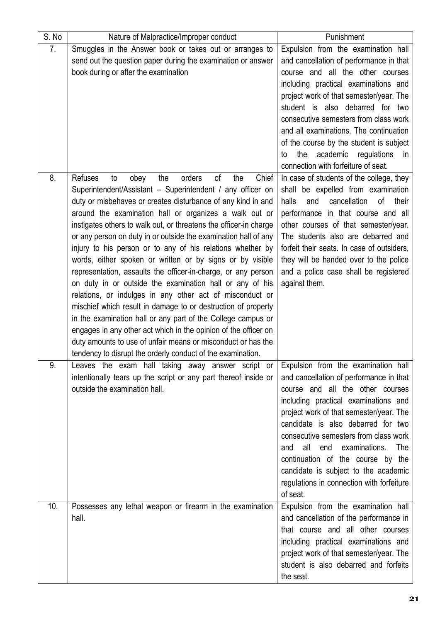| S. No | Nature of Malpractice/Improper conduct                              | Punishment                                  |
|-------|---------------------------------------------------------------------|---------------------------------------------|
| 7.    | Smuggles in the Answer book or takes out or arranges to             | Expulsion from the examination hall         |
|       | send out the question paper during the examination or answer        | and cancellation of performance in that     |
|       | book during or after the examination                                | course and all the other courses            |
|       |                                                                     | including practical examinations and        |
|       |                                                                     | project work of that semester/year. The     |
|       |                                                                     | student is also debarred for two            |
|       |                                                                     | consecutive semesters from class work       |
|       |                                                                     | and all examinations. The continuation      |
|       |                                                                     | of the course by the student is subject     |
|       |                                                                     | academic<br>the<br>regulations<br>to<br>in  |
|       |                                                                     | connection with forfeiture of seat.         |
| 8.    | <b>Refuses</b><br>of<br>the<br>Chief<br>the<br>orders<br>obey<br>to | In case of students of the college, they    |
|       | Superintendent/Assistant - Superintendent / any officer on          | shall be expelled from examination          |
|       | duty or misbehaves or creates disturbance of any kind in and        | cancellation<br>of<br>their<br>halls<br>and |
|       | around the examination hall or organizes a walk out or              | performance in that course and all          |
|       | instigates others to walk out, or threatens the officer-in charge   | other courses of that semester/year.        |
|       | or any person on duty in or outside the examination hall of any     | The students also are debarred and          |
|       | injury to his person or to any of his relations whether by          | forfeit their seats. In case of outsiders,  |
|       | words, either spoken or written or by signs or by visible           | they will be handed over to the police      |
|       | representation, assaults the officer-in-charge, or any person       | and a police case shall be registered       |
|       | on duty in or outside the examination hall or any of his            | against them.                               |
|       | relations, or indulges in any other act of misconduct or            |                                             |
|       | mischief which result in damage to or destruction of property       |                                             |
|       | in the examination hall or any part of the College campus or        |                                             |
|       | engages in any other act which in the opinion of the officer on     |                                             |
|       | duty amounts to use of unfair means or misconduct or has the        |                                             |
|       | tendency to disrupt the orderly conduct of the examination.         |                                             |
| 9.    | Leaves the exam hall taking away answer script or                   | Expulsion from the examination hall         |
|       | intentionally tears up the script or any part thereof inside or     | and cancellation of performance in that     |
|       | outside the examination hall.                                       | course and all the other courses            |
|       |                                                                     | including practical examinations and        |
|       |                                                                     | project work of that semester/year. The     |
|       |                                                                     | candidate is also debarred for two          |
|       |                                                                     |                                             |
|       |                                                                     | consecutive semesters from class work       |
|       |                                                                     | all<br>end<br>examinations.<br>The<br>and   |
|       |                                                                     | continuation of the course by the           |
|       |                                                                     | candidate is subject to the academic        |
|       |                                                                     | regulations in connection with forfeiture   |
|       |                                                                     | of seat.                                    |
| 10.   | Possesses any lethal weapon or firearm in the examination           | Expulsion from the examination hall         |
|       | hall.                                                               | and cancellation of the performance in      |
|       |                                                                     | that course and all other courses           |
|       |                                                                     | including practical examinations and        |
|       |                                                                     | project work of that semester/year. The     |
|       |                                                                     | student is also debarred and forfeits       |
|       |                                                                     | the seat.                                   |